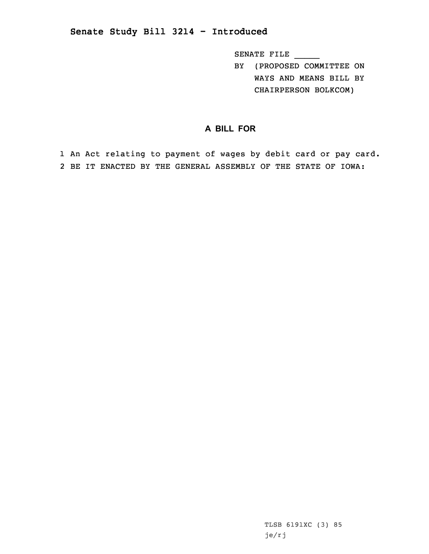## **Senate Study Bill 3214 - Introduced**

SENATE FILE \_\_\_\_\_

BY (PROPOSED COMMITTEE ON WAYS AND MEANS BILL BY CHAIRPERSON BOLKCOM)

## **A BILL FOR**

1 An Act relating to payment of wages by debit card or pay card. 2 BE IT ENACTED BY THE GENERAL ASSEMBLY OF THE STATE OF IOWA:

> TLSB 6191XC (3) 85 je/rj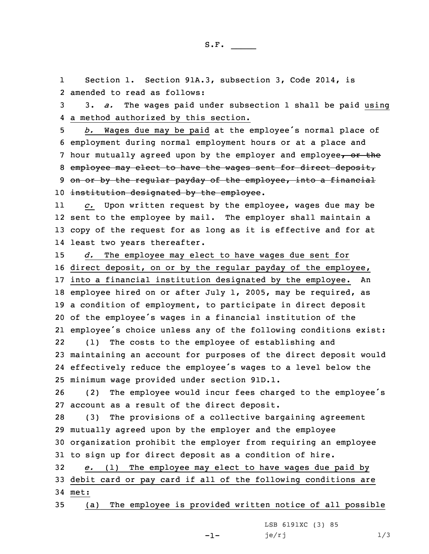1 Section 1. Section 91A.3, subsection 3, Code 2014, is 2 amended to read as follows:

3 3. *a.* The wages paid under subsection 1 shall be paid using 4 <sup>a</sup> method authorized by this section.

<sup>5</sup> *b.* Wages due may be paid at the employee's normal place of 6 employment during normal employment hours or at <sup>a</sup> place and 7 hour mutually agreed upon by the employer and employee, or the 8 employee may elect to have the wages sent for direct deposit, 9 on or by the regular payday of the employee, into a financial 10 institution designated by the employee.

11 *c.* Upon written request by the employee, wages due may be 12 sent to the employee by mail. The employer shall maintain <sup>a</sup> 13 copy of the request for as long as it is effective and for at 14 least two years thereafter.

 *d.* The employee may elect to have wages due sent for direct deposit, on or by the regular payday of the employee, into <sup>a</sup> financial institution designated by the employee. An employee hired on or after July 1, 2005, may be required, as <sup>a</sup> condition of employment, to participate in direct deposit of the employee's wages in <sup>a</sup> financial institution of the employee's choice unless any of the following conditions exist: 22 (1) The costs to the employee of establishing and maintaining an account for purposes of the direct deposit would effectively reduce the employee's wages to <sup>a</sup> level below the minimum wage provided under section 91D.1.

<sup>26</sup> (2) The employee would incur fees charged to the employee's 27 account as <sup>a</sup> result of the direct deposit.

 (3) The provisions of <sup>a</sup> collective bargaining agreement mutually agreed upon by the employer and the employee organization prohibit the employer from requiring an employee to sign up for direct deposit as <sup>a</sup> condition of hire.

32 *e.* (1) The employee may elect to have wages due paid by 33 debit card or pay card if all of the following conditions are 34 met:

-1-

35 (a) The employee is provided written notice of all possible

LSB 6191XC (3) 85 je/rj  $1/3$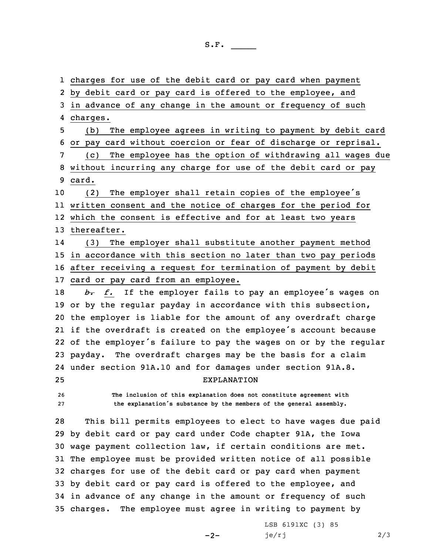charges for use of the debit card or pay card when payment by debit card or pay card is offered to the employee, and in advance of any change in the amount or frequency of such 4 charges. (b) The employee agrees in writing to payment by debit card or pay card without coercion or fear of discharge or reprisal. (c) The employee has the option of withdrawing all wages due without incurring any charge for use of the debit card or pay 9 card. (2) The employer shall retain copies of the employee's written consent and the notice of charges for the period for which the consent is effective and for at least two years thereafter. 14 (3) The employer shall substitute another payment method in accordance with this section no later than two pay periods after receiving <sup>a</sup> request for termination of payment by debit 17 card or pay card from an employee. *b. f.* If the employer fails to pay an employee's wages on or by the regular payday in accordance with this subsection, the employer is liable for the amount of any overdraft charge if the overdraft is created on the employee's account because of the employer's failure to pay the wages on or by the regular payday. The overdraft charges may be the basis for <sup>a</sup> claim under section 91A.10 and for damages under section 91A.8. EXPLANATION **The inclusion of this explanation does not constitute agreement with the explanation's substance by the members of the general assembly.** This bill permits employees to elect to have wages due paid by debit card or pay card under Code chapter 91A, the Iowa wage payment collection law, if certain conditions are met. The employee must be provided written notice of all possible charges for use of the debit card or pay card when payment by debit card or pay card is offered to the employee, and in advance of any change in the amount or frequency of such charges. The employee must agree in writing to payment by

 $-2-$ 

LSB 6191XC (3) 85  $je/rj$  2/3